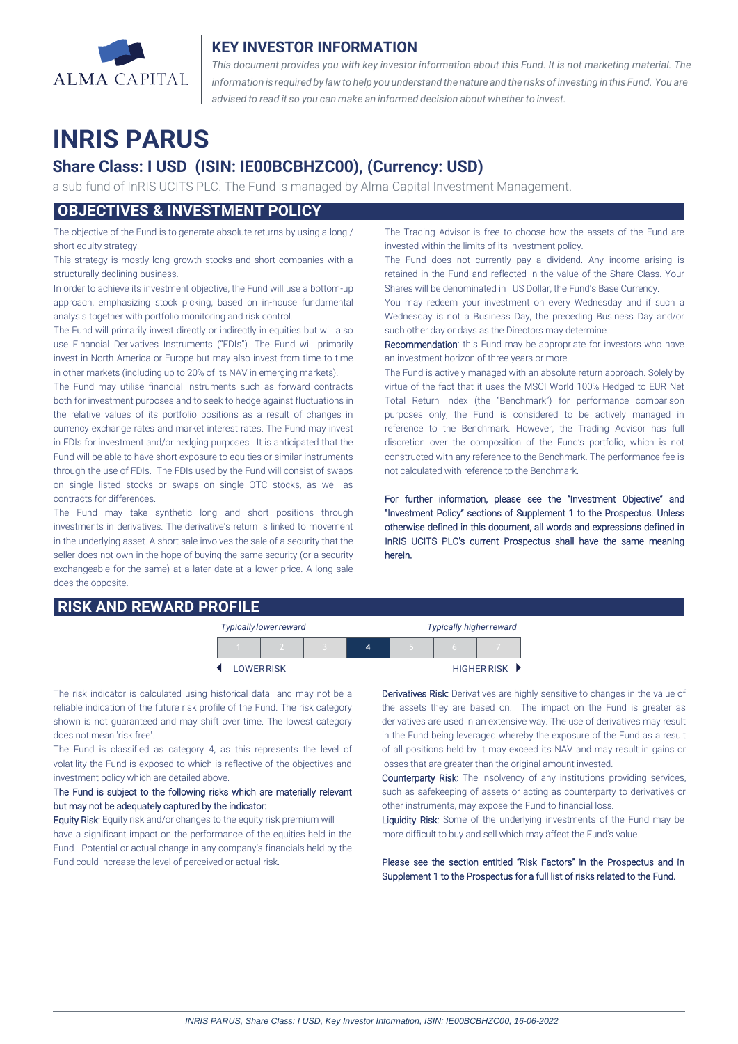

## **KEY INVESTOR INFORMATION**

*This document provides you with key investor information about this Fund. It is not marketing material. The* information is required by law to help you understand the nature and the risks of investing in this Fund. You are *advised to read it so you can make an informed decision about whether to invest.*

# **INRIS PARUS**

# **Share Class: I USD (ISIN: IE00BCBHZC00), (Currency: USD)**

a sub-fund of InRIS UCITS PLC. The Fund is managed by Alma Capital Investment Management.

## **OBJECTIVES & INVESTMENT POLICY**

The objective of the Fund is to generate absolute returns by using a long / short equity strategy.

This strategy is mostly long growth stocks and short companies with a structurally declining business.

In order to achieve its investment objective, the Fund will use a bottom-up approach, emphasizing stock picking, based on in-house fundamental analysis together with portfolio monitoring and risk control.

The Fund will primarily invest directly or indirectly in equities but will also use Financial Derivatives Instruments ("FDIs"). The Fund will primarily invest in North America or Europe but may also invest from time to time in other markets (including up to 20% of its NAV in emerging markets).

The Fund may utilise financial instruments such as forward contracts both for investment purposes and to seek to hedge against fluctuations in the relative values of its portfolio positions as a result of changes in currency exchange rates and market interest rates. The Fund may invest in FDIs for investment and/or hedging purposes. It is anticipated that the Fund will be able to have short exposure to equities or similar instruments through the use of FDIs. The FDIs used by the Fund will consist of swaps on single listed stocks or swaps on single OTC stocks, as well as contracts for differences.

The Fund may take synthetic long and short positions through investments in derivatives. The derivative's return is linked to movement in the underlying asset. A short sale involves the sale of a security that the seller does not own in the hope of buying the same security (or a security exchangeable for the same) at a later date at a lower price. A long sale does the opposite.

### **RISK AND REWARD PROFILE**

The Trading Advisor is free to choose how the assets of the Fund are invested within the limits of its investment policy.

The Fund does not currently pay a dividend. Any income arising is retained in the Fund and reflected in the value of the Share Class. Your Shares will be denominated in US Dollar, the Fund's Base Currency.

You may redeem your investment on every Wednesday and if such a Wednesday is not a Business Day, the preceding Business Day and/or such other day or days as the Directors may determine.

Recommendation: this Fund may be appropriate for investors who have an investment horizon of three years or more.

The Fund is actively managed with an absolute return approach. Solely by virtue of the fact that it uses the MSCI World 100% Hedged to EUR Net Total Return Index (the "Benchmark") for performance comparison purposes only, the Fund is considered to be actively managed in reference to the Benchmark. However, the Trading Advisor has full discretion over the composition of the Fund's portfolio, which is not constructed with any reference to the Benchmark. The performance fee is not calculated with reference to the Benchmark.

For further information, please see the "Investment Objective" and "Investment Policy" sections of Supplement 1 to the Prospectus. Unless otherwise defined in this document, all words and expressions defined in InRIS UCITS PLC's current Prospectus shall have the same meaning herein.

| Typically lower reward |                  |  |  | <b>Typically higher reward</b> |  |               |
|------------------------|------------------|--|--|--------------------------------|--|---------------|
|                        |                  |  |  |                                |  |               |
|                        | <b>LOWERRISK</b> |  |  |                                |  | HIGHER RISK D |

The risk indicator is calculated using historical data and may not be a reliable indication of the future risk profile of the Fund. The risk category shown is not guaranteed and may shift over time. The lowest category does not mean 'risk free'.

The Fund is classified as category 4, as this represents the level of volatility the Fund is exposed to which is reflective of the objectives and investment policy which are detailed above.

#### The Fund is subject to the following risks which are materially relevant but may not be adequately captured by the indicator:

Equity Risk: Equity risk and/or changes to the equity risk premium will have a significant impact on the performance of the equities held in the Fund. Potential or actual change in any company's financials held by the Fund could increase the level of perceived or actual risk.

Derivatives Risk: Derivatives are highly sensitive to changes in the value of the assets they are based on. The impact on the Fund is greater as derivatives are used in an extensive way. The use of derivatives may result in the Fund being leveraged whereby the exposure of the Fund as a result of all positions held by it may exceed its NAV and may result in gains or losses that are greater than the original amount invested.

Counterparty Risk: The insolvency of any institutions providing services, such as safekeeping of assets or acting as counterparty to derivatives or other instruments, may expose the Fund to financial loss.

Liquidity Risk: Some of the underlying investments of the Fund may be more difficult to buy and sell which may affect the Fund's value.

Please see the section entitled "Risk Factors" in the Prospectus and in Supplement 1 to the Prospectus for a full list of risks related to the Fund.